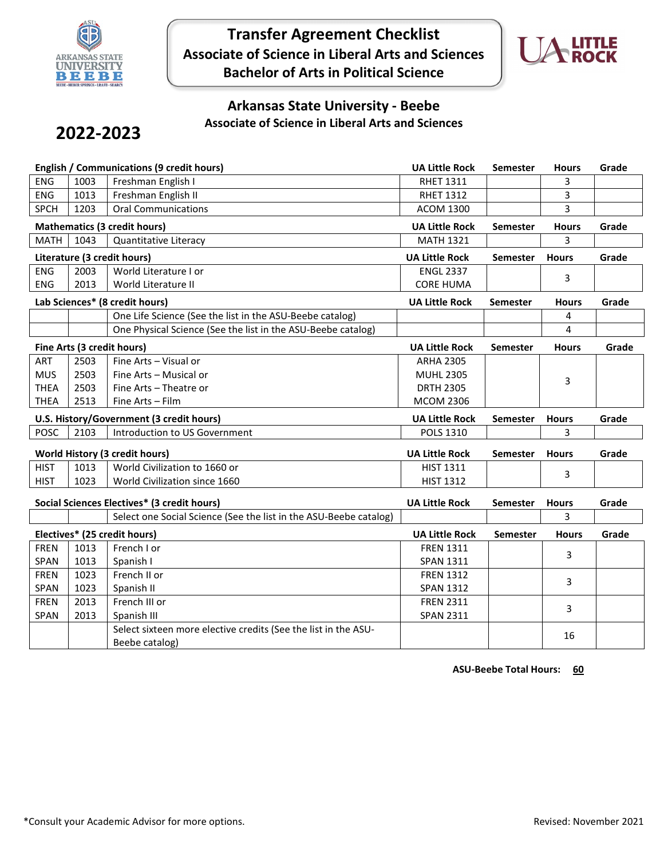

**Transfer Agreement Checklist Associate of Science in Liberal Arts and Sciences Bachelor of Arts in Political Science**



## **Arkansas State University - Beebe Associate of Science in Liberal Arts and Sciences**

## **2022-2023**

| <b>English / Communications (9 credit hours)</b> |                                          |                                                                   | <b>UA Little Rock</b> | Semester        | <b>Hours</b> | Grade |
|--------------------------------------------------|------------------------------------------|-------------------------------------------------------------------|-----------------------|-----------------|--------------|-------|
| ENG                                              | 1003                                     | Freshman English I                                                | <b>RHET 1311</b>      |                 | 3            |       |
| ENG                                              | 1013                                     | Freshman English II                                               | <b>RHET 1312</b>      |                 | 3            |       |
| <b>SPCH</b>                                      | 1203                                     | <b>Oral Communications</b>                                        | <b>ACOM 1300</b>      |                 | 3            |       |
|                                                  | <b>Mathematics (3 credit hours)</b>      |                                                                   |                       | Semester        | <b>Hours</b> | Grade |
| MATH                                             | 1043                                     | Quantitative Literacy                                             | <b>MATH 1321</b>      |                 | 3            |       |
|                                                  |                                          | Literature (3 credit hours)                                       | <b>UA Little Rock</b> | Semester        | <b>Hours</b> | Grade |
| ENG                                              | 2003                                     | World Literature I or                                             | <b>ENGL 2337</b>      |                 | 3            |       |
| <b>ENG</b>                                       | 2013                                     | World Literature II                                               | <b>CORE HUMA</b>      |                 |              |       |
|                                                  |                                          | Lab Sciences* (8 credit hours)                                    | <b>UA Little Rock</b> | <b>Semester</b> | <b>Hours</b> | Grade |
|                                                  |                                          | One Life Science (See the list in the ASU-Beebe catalog)          |                       |                 | 4            |       |
|                                                  |                                          | One Physical Science (See the list in the ASU-Beebe catalog)      |                       |                 | 4            |       |
|                                                  |                                          | Fine Arts (3 credit hours)                                        | <b>UA Little Rock</b> | <b>Semester</b> | <b>Hours</b> | Grade |
| <b>ART</b>                                       | 2503                                     | Fine Arts - Visual or                                             | <b>ARHA 2305</b>      |                 |              |       |
| <b>MUS</b>                                       | 2503                                     | Fine Arts - Musical or                                            | <b>MUHL 2305</b>      |                 | 3            |       |
| <b>THEA</b>                                      | 2503                                     | Fine Arts - Theatre or                                            | <b>DRTH 2305</b>      |                 |              |       |
| <b>THEA</b>                                      | 2513                                     | Fine Arts - Film                                                  | <b>MCOM 2306</b>      |                 |              |       |
|                                                  | U.S. History/Government (3 credit hours) |                                                                   |                       |                 |              |       |
|                                                  |                                          |                                                                   | <b>UA Little Rock</b> | Semester        | <b>Hours</b> | Grade |
| <b>POSC</b>                                      | 2103                                     | Introduction to US Government                                     | <b>POLS 1310</b>      |                 | 3            |       |
|                                                  |                                          | <b>World History (3 credit hours)</b>                             | <b>UA Little Rock</b> | <b>Semester</b> | <b>Hours</b> | Grade |
| <b>HIST</b>                                      | 1013                                     | World Civilization to 1660 or                                     | <b>HIST 1311</b>      |                 |              |       |
| <b>HIST</b>                                      | 1023                                     | World Civilization since 1660                                     | <b>HIST 1312</b>      |                 | 3            |       |
|                                                  |                                          | Social Sciences Electives* (3 credit hours)                       | <b>UA Little Rock</b> | <b>Semester</b> | <b>Hours</b> | Grade |
|                                                  |                                          | Select one Social Science (See the list in the ASU-Beebe catalog) |                       |                 | 3            |       |
|                                                  |                                          | Electives* (25 credit hours)                                      | <b>UA Little Rock</b> | <b>Semester</b> | <b>Hours</b> | Grade |
| <b>FREN</b>                                      | 1013                                     | French I or                                                       | <b>FREN 1311</b>      |                 |              |       |
| SPAN                                             | 1013                                     | Spanish I                                                         | <b>SPAN 1311</b>      |                 | 3            |       |
| <b>FREN</b>                                      | 1023                                     | French II or                                                      | <b>FREN 1312</b>      |                 |              |       |
| SPAN                                             | 1023                                     | Spanish II                                                        | <b>SPAN 1312</b>      |                 | 3            |       |
| <b>FREN</b>                                      | 2013                                     | French III or                                                     | <b>FREN 2311</b>      |                 |              |       |
| SPAN                                             | 2013                                     | Spanish III                                                       | <b>SPAN 2311</b>      |                 | 3            |       |

**ASU-Beebe Total Hours: 60**